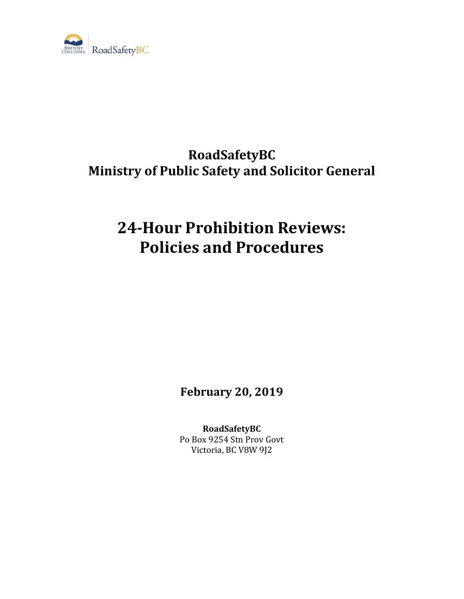

## **RoadSafetyBC Ministry of Public Safety and Solicitor General**

# **24-Hour Prohibition Reviews: Policies and Procedures**

**February 20, 2019**

**RoadSafetyBC** Po Box 9254 Stn Prov Govt Victoria, BC V8W 9J2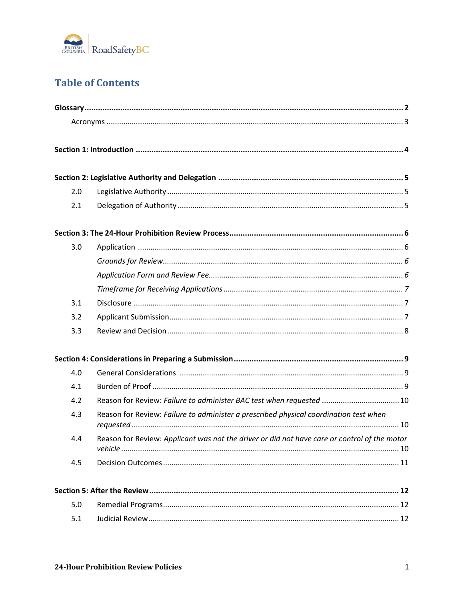

## **Table of Contents**

|  | 2.0 |                                                                                              |  |
|--|-----|----------------------------------------------------------------------------------------------|--|
|  | 2.1 |                                                                                              |  |
|  |     |                                                                                              |  |
|  | 3.0 |                                                                                              |  |
|  |     |                                                                                              |  |
|  |     |                                                                                              |  |
|  |     |                                                                                              |  |
|  | 3.1 |                                                                                              |  |
|  | 3.2 |                                                                                              |  |
|  | 3.3 |                                                                                              |  |
|  |     |                                                                                              |  |
|  | 4.0 |                                                                                              |  |
|  | 4.1 |                                                                                              |  |
|  | 4.2 | Reason for Review: Failure to administer BAC test when requested  10                         |  |
|  | 4.3 | Reason for Review: Failure to administer a prescribed physical coordination test when        |  |
|  | 44  | Reason for Review: Applicant was not the driver or did not have care or control of the motor |  |
|  | 4.5 |                                                                                              |  |
|  |     |                                                                                              |  |
|  | 5.0 |                                                                                              |  |
|  | 5.1 |                                                                                              |  |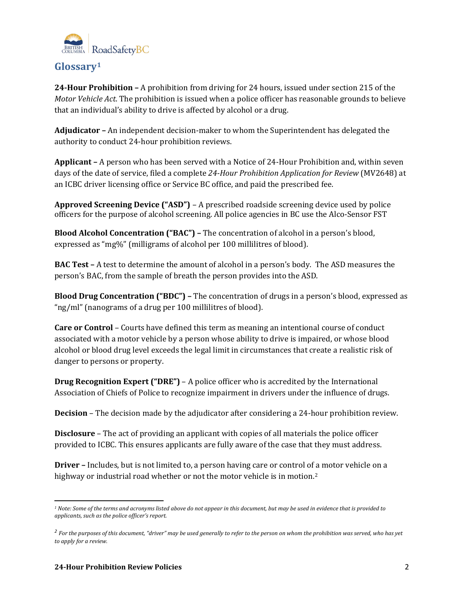

## <span id="page-2-0"></span>**Glossary[1](#page-2-1)**

**24-Hour Prohibition –** A prohibition from driving for 24 hours, issued under section 215 of the *Motor Vehicle Act*. The prohibition is issued when a police officer has reasonable grounds to believe that an individual's ability to drive is affected by alcohol or a drug.

**Adjudicator –** An independent decision-maker to whom the Superintendent has delegated the authority to conduct 24-hour prohibition reviews.

**Applicant –** A person who has been served with a Notice of 24-Hour Prohibition and, within seven days of the date of service, filed a complete *24-Hour Prohibition Application for Review* (MV2648) at an ICBC driver licensing office or Service BC office, and paid the prescribed fee.

**Approved Screening Device ("ASD")** – A prescribed roadside screening device used by police officers for the purpose of alcohol screening. All police agencies in BC use the Alco-Sensor FST

**Blood Alcohol Concentration ("BAC") –** The concentration of alcohol in a person's blood, expressed as "mg%" (milligrams of alcohol per 100 millilitres of blood).

**BAC Test –** A test to determine the amount of alcohol in a person's body. The ASD measures the person's BAC, from the sample of breath the person provides into the ASD.

**Blood Drug Concentration ("BDC") –** The concentration of drugs in a person's blood, expressed as "ng/ml" (nanograms of a drug per 100 millilitres of blood).

**Care or Control** – Courts have defined this term as meaning an intentional course of conduct associated with a motor vehicle by a person whose ability to drive is impaired, or whose blood alcohol or blood drug level exceeds the legal limit in circumstances that create a realistic risk of danger to persons or property.

**Drug Recognition Expert ("DRE")** – A police officer who is accredited by the International Association of Chiefs of Police to recognize impairment in drivers under the influence of drugs.

**Decision** – The decision made by the adjudicator after considering a 24-hour prohibition review.

**Disclosure** – The act of providing an applicant with copies of all materials the police officer provided to ICBC. This ensures applicants are fully aware of the case that they must address.

**Driver –** Includes, but is not limited to, a person having care or control of [a](#page-2-2) motor vehicle on a highway or industrial road whether or not the motor vehicle is in motion.<sup>2</sup>

<span id="page-2-1"></span> $\overline{a}$ *<sup>1</sup> Note: Some of the terms and acronyms listed above do not appear in this document, but may be used in evidence that is provided to applicants, such as the police officer's report.*

<span id="page-2-2"></span>*<sup>2</sup> For the purposes of this document, "driver" may be used generally to refer to the person on whom the prohibition was served, who has yet to apply for a review.*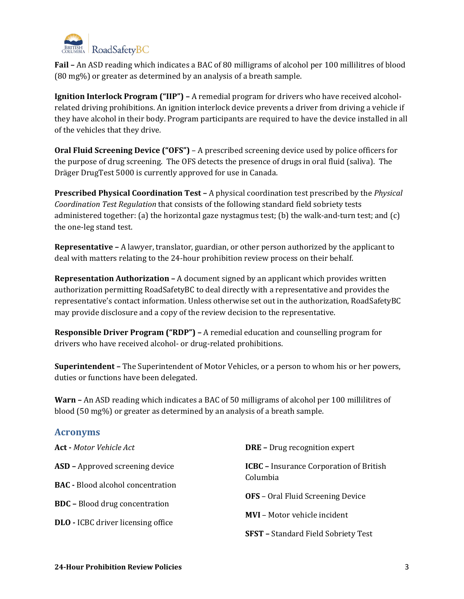

**Fail –** An ASD reading which indicates a BAC of 80 milligrams of alcohol per 100 millilitres of blood (80 mg%) or greater as determined by an analysis of a breath sample.

**Ignition Interlock Program ("IIP") –** A remedial program for drivers who have received alcoholrelated driving prohibitions. An ignition interlock device prevents a driver from driving a vehicle if they have alcohol in their body. Program participants are required to have the device installed in all of the vehicles that they drive.

**Oral Fluid Screening Device ("OFS")** – A prescribed screening device used by police officers for the purpose of drug screening. The OFS detects the presence of drugs in oral fluid (saliva). The Dräger DrugTest 5000 is currently approved for use in Canada.

**Prescribed Physical Coordination Test –** A physical coordination test prescribed by the *Physical Coordination Test Regulation* that consists of the following standard field sobriety tests administered together: (a) the horizontal gaze nystagmus test; (b) the walk-and-turn test; and (c) the one-leg stand test.

**Representative –** A lawyer, translator, guardian, or other person authorized by the applicant to deal with matters relating to the 24-hour prohibition review process on their behalf.

**Representation Authorization –** A document signed by an applicant which provides written authorization permitting RoadSafetyBC to deal directly with a representative and provides the representative's contact information. Unless otherwise set out in the authorization, RoadSafetyBC may provide disclosure and a copy of the review decision to the representative.

**Responsible Driver Program ("RDP") –** A remedial education and counselling program for drivers who have received alcohol- or drug-related prohibitions.

**Superintendent –** The Superintendent of Motor Vehicles, or a person to whom his or her powers, duties or functions have been delegated.

**Warn –** An ASD reading which indicates a BAC of 50 milligrams of alcohol per 100 millilitres of blood (50 mg%) or greater as determined by an analysis of a breath sample.

#### <span id="page-3-0"></span>**Acronyms**

| <b>Act</b> - Motor Vehicle Act            | <b>DRE</b> - Drug recognition expert                       |
|-------------------------------------------|------------------------------------------------------------|
| <b>ASD</b> - Approved screening device    | <b>ICBC</b> – Insurance Corporation of British<br>Columbia |
| <b>BAC</b> - Blood alcohol concentration  |                                                            |
| <b>BDC</b> - Blood drug concentration     | <b>OFS</b> - Oral Fluid Screening Device                   |
| <b>DLO</b> - ICBC driver licensing office | <b>MVI</b> – Motor vehicle incident                        |
|                                           | <b>SFST</b> - Standard Field Sobriety Test                 |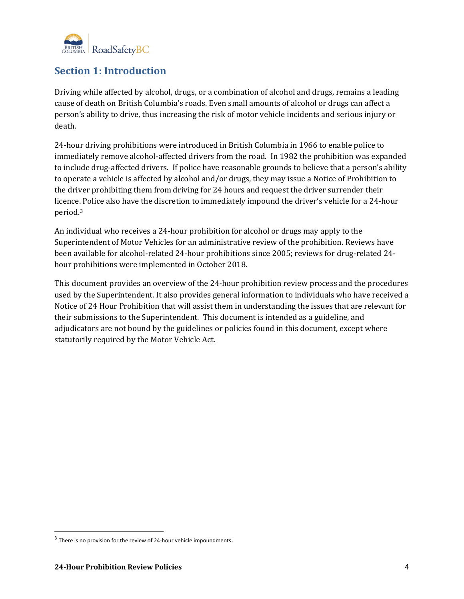

## <span id="page-4-0"></span>**Section 1: Introduction**

Driving while affected by alcohol, drugs, or a combination of alcohol and drugs, remains a leading cause of death on British Columbia's roads. Even small amounts of alcohol or drugs can affect a person's ability to drive, thus increasing the risk of motor vehicle incidents and serious injury or death.

24-hour driving prohibitions were introduced in British Columbia in 1966 to enable police to immediately remove alcohol-affected drivers from the road. In 1982 the prohibition was expanded to include drug-affected drivers. If police have reasonable grounds to believe that a person's ability to operate a vehicle is affected by alcohol and/or drugs, they may issue a Notice of Prohibition to the driver prohibiting them from driving for 24 hours and request the driver surrender their licence[. P](#page-4-1)olice also have the discretion to immediately impound the driver's vehicle for a 24-hour period.3

An individual who receives a 24-hour prohibition for alcohol or drugs may apply to the Superintendent of Motor Vehicles for an administrative review of the prohibition. Reviews have been available for alcohol-related 24-hour prohibitions since 2005; reviews for drug-related 24 hour prohibitions were implemented in October 2018.

This document provides an overview of the 24-hour prohibition review process and the procedures used by the Superintendent. It also provides general information to individuals who have received a Notice of 24 Hour Prohibition that will assist them in understanding the issues that are relevant for their submissions to the Superintendent. This document is intended as a guideline, and adjudicators are not bound by the guidelines or policies found in this document, except where statutorily required by the Motor Vehicle Act.

<span id="page-4-1"></span><sup>&</sup>lt;sup>3</sup> There is no provision for the review of 24-hour vehicle impoundments.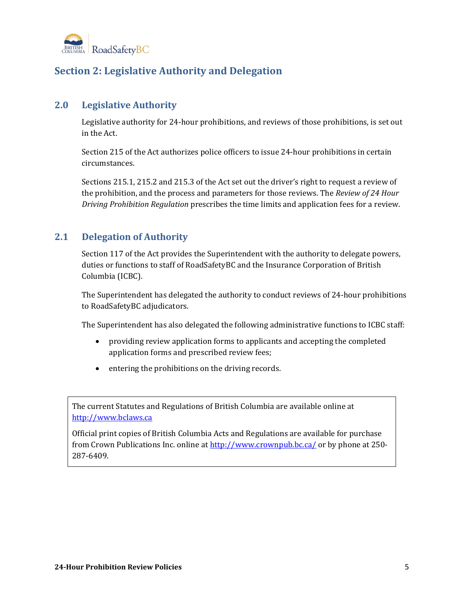

## <span id="page-5-0"></span>**Section 2: Legislative Authority and Delegation**

#### <span id="page-5-1"></span>**2.0 Legislative Authority**

Legislative authority for 24-hour prohibitions, and reviews of those prohibitions, is set out in the Act.

Section 215 of the Act authorizes police officers to issue 24-hour prohibitions in certain circumstances.

Sections 215.1, 215.2 and 215.3 of the Act set out the driver's right to request a review of the prohibition, and the process and parameters for those reviews. The *Review of 24 Hour Driving Prohibition Regulation* prescribes the time limits and application fees for a review.

## <span id="page-5-2"></span>**2.1 Delegation of Authority**

Section 117 of the Act provides the Superintendent with the authority to delegate powers, duties or functions to staff of RoadSafetyBC and the Insurance Corporation of British Columbia (ICBC).

The Superintendent has delegated the authority to conduct reviews of 24-hour prohibitions to RoadSafetyBC adjudicators.

The Superintendent has also delegated the following administrative functions to ICBC staff:

- providing review application forms to applicants and accepting the completed application forms and prescribed review fees;
- entering the prohibitions on the driving records.

The current Statutes and Regulations of British Columbia are available online at [http://www.bclaws.ca](http://www.bclaws.ca/)

Official print copies of British Columbia Acts and Regulations are available for purchase from Crown Publications Inc. online at<http://www.crownpub.bc.ca/> or by phone at 250- 287-6409.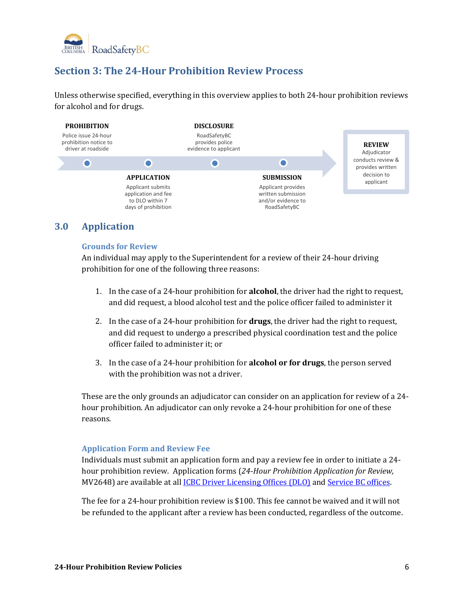

## <span id="page-6-0"></span>**Section 3: The 24-Hour Prohibition Review Process**

Unless otherwise specified, everything in this overview applies to both 24-hour prohibition reviews for alcohol and for drugs.



#### <span id="page-6-2"></span><span id="page-6-1"></span>**3.0 Application**

#### **Grounds for Review**

An individual may apply to the Superintendent for a review of their 24-hour driving prohibition for one of the following three reasons:

- 1. In the case of a 24-hour prohibition for **alcohol**, the driver had the right to request, and did request, a blood alcohol test and the police officer failed to administer it
- 2. In the case of a 24-hour prohibition for **drugs**, the driver had the right to request, and did request to undergo a prescribed physical coordination test and the police officer failed to administer it; or
- 3. In the case of a 24-hour prohibition for **alcohol or for drugs**, the person served with the prohibition was not a driver.

These are the only grounds an adjudicator can consider on an application for review of a 24 hour prohibition. An adjudicator can only revoke a 24-hour prohibition for one of these reasons.

#### <span id="page-6-3"></span>**Application Form and Review Fee**

Individuals must submit an application form and pay a review fee in order to initiate a 24 hour prohibition review. Application forms (*24-Hour Prohibition Application for Review,*  MV2648) are available at all **[ICBC Driver Licensing Offices](http://www.icbc.com/locators/Pages/default.aspx) (DLO)** and **Service BC offices**.

The fee for a 24-hour prohibition review is \$100. This fee cannot be waived and it will not be refunded to the applicant after a review has been conducted, regardless of the outcome.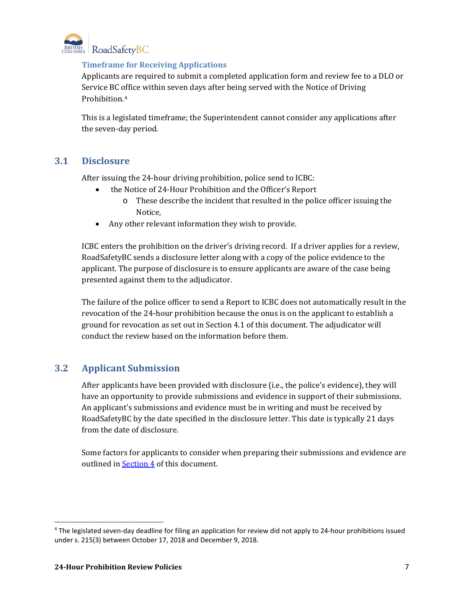<span id="page-7-0"></span>

#### **Timeframe for Receiving Applications**

Applicants are required to submit a completed application form and review fee to a DLO or Service BC office within seven days after being served with the Notice of Driving Prohibition.[4](#page-7-3)

This is a legislated timeframe; the Superintendent cannot consider any applications after the seven-day period.

#### <span id="page-7-1"></span>**3.1 Disclosure**

After issuing the 24-hour driving prohibition, police send to ICBC:

- the Notice of 24-Hour Prohibition and the Officer's Report
	- o These describe the incident that resulted in the police officer issuing the Notice,
- Any other relevant information they wish to provide.

ICBC enters the prohibition on the driver's driving record. If a driver applies for a review, RoadSafetyBC sends a disclosure letter along with a copy of the police evidence to the applicant. The purpose of disclosure is to ensure applicants are aware of the case being presented against them to the adjudicator.

The failure of the police officer to send a Report to ICBC does not automatically result in the revocation of the 24-hour prohibition because the onus is on the applicant to establish a ground for revocation as set out in Section 4.1 of this document. The adjudicator will conduct the review based on the information before them.

## <span id="page-7-2"></span>**3.2 Applicant Submission**

After applicants have been provided with disclosure (i.e., the police's evidence), they will have an opportunity to provide submissions and evidence in support of their submissions. An applicant's submissions and evidence must be in writing and must be received by RoadSafetyBC by the date specified in the disclosure letter. This date is typically 21 days from the date of disclosure.

Some factors for applicants to consider when preparing their submissions and evidence are outlined in **[Section 4](#page-9-0)** of this document.

<span id="page-7-3"></span> <sup>4</sup> The legislated seven-day deadline for filing an application for review did not apply to 24-hour prohibitions issued under s. 215(3) between October 17, 2018 and December 9, 2018.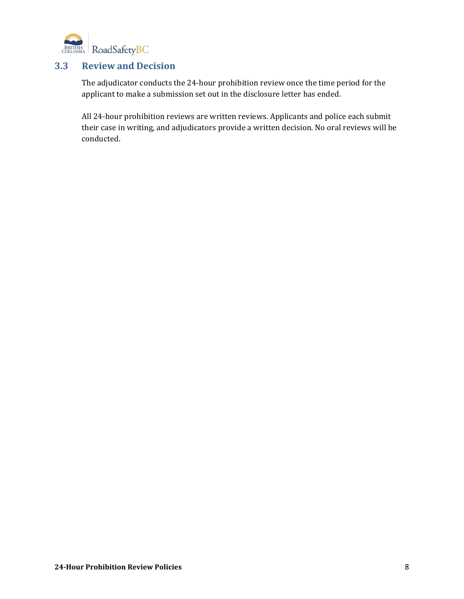

#### <span id="page-8-0"></span>**3.3 Review and Decision**

The adjudicator conducts the 24-hour prohibition review once the time period for the applicant to make a submission set out in the disclosure letter has ended.

All 24-hour prohibition reviews are written reviews. Applicants and police each submit their case in writing, and adjudicators provide a written decision. No oral reviews will be conducted.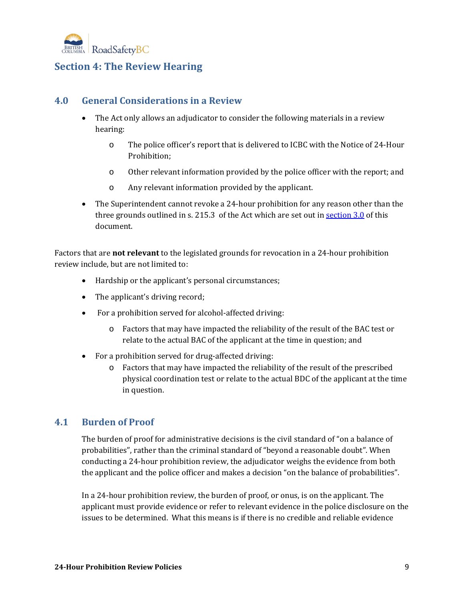

## <span id="page-9-0"></span>**Section 4: The Review Hearing**

#### <span id="page-9-1"></span>**4.0 General Considerations in a Review**

- The Act only allows an adjudicator to consider the following materials in a review hearing:
	- o The police officer's report that is delivered to ICBC with the Notice of 24-Hour Prohibition;
	- o Other relevant information provided by the police officer with the report; and
	- o Any relevant information provided by the applicant.
- The Superintendent cannot revoke a 24-hour prohibition for any reason other than the three grounds outlined in s. 215.3 of the Act which are set out i[n section 3.0](#page-6-1) of this document.

Factors that are **not relevant** to the legislated grounds for revocation in a 24-hour prohibition review include, but are not limited to:

- Hardship or the applicant's personal circumstances;
- The applicant's driving record;
- For a prohibition served for alcohol-affected driving:
	- o Factors that may have impacted the reliability of the result of the BAC test or relate to the actual BAC of the applicant at the time in question; and
- For a prohibition served for drug-affected driving:
	- o Factors that may have impacted the reliability of the result of the prescribed physical coordination test or relate to the actual BDC of the applicant at the time in question.

#### <span id="page-9-2"></span>**4.1 Burden of Proof**

The burden of proof for administrative decisions is the civil standard of "on a balance of probabilities", rather than the criminal standard of "beyond a reasonable doubt". When conducting a 24-hour prohibition review, the adjudicator weighs the evidence from both the applicant and the police officer and makes a decision "on the balance of probabilities".

In a 24-hour prohibition review, the burden of proof, or onus, is on the applicant. The applicant must provide evidence or refer to relevant evidence in the police disclosure on the issues to be determined. What this means is if there is no credible and reliable evidence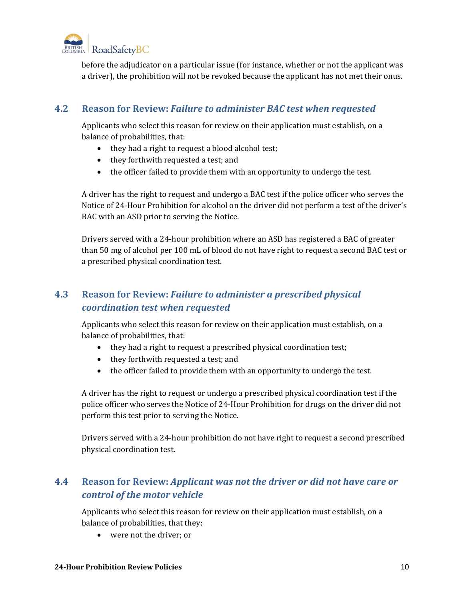

before the adjudicator on a particular issue (for instance, whether or not the applicant was a driver), the prohibition will not be revoked because the applicant has not met their onus.

#### <span id="page-10-0"></span>**4.2 Reason for Review:** *Failure to administer BAC test when requested*

Applicants who select this reason for review on their application must establish, on a balance of probabilities, that:

- they had a right to request a blood alcohol test;
- they forthwith requested a test; and
- the officer failed to provide them with an opportunity to undergo the test.

A driver has the right to request and undergo a BAC test if the police officer who serves the Notice of 24-Hour Prohibition for alcohol on the driver did not perform a test of the driver's BAC with an ASD prior to serving the Notice.

Drivers served with a 24-hour prohibition where an ASD has registered a BAC of greater than 50 mg of alcohol per 100 mL of blood do not have right to request a second BAC test or a prescribed physical coordination test.

## <span id="page-10-1"></span>**4.3 Reason for Review:** *Failure to administer a prescribed physical coordination test when requested*

Applicants who select this reason for review on their application must establish, on a balance of probabilities, that:

- they had a right to request a prescribed physical coordination test;
- they forthwith requested a test; and
- the officer failed to provide them with an opportunity to undergo the test.

A driver has the right to request or undergo a prescribed physical coordination test if the police officer who serves the Notice of 24-Hour Prohibition for drugs on the driver did not perform this test prior to serving the Notice.

Drivers served with a 24-hour prohibition do not have right to request a second prescribed physical coordination test.

## <span id="page-10-2"></span>**4.4 Reason for Review:** *Applicant was not the driver or did not have care or control of the motor vehicle*

Applicants who select this reason for review on their application must establish, on a balance of probabilities, that they:

• were not the driver; or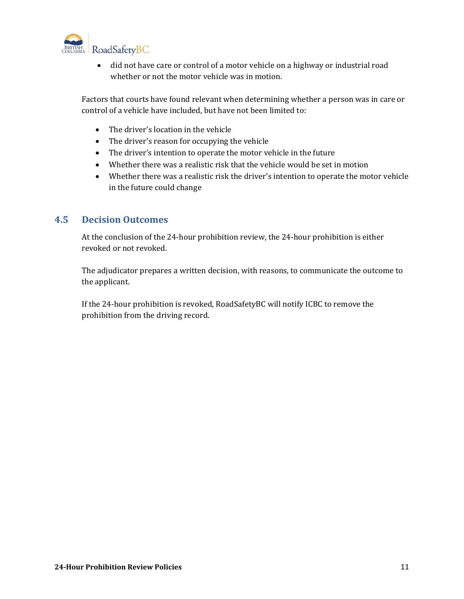

• did not have care or control of a motor vehicle on a highway or industrial road whether or not the motor vehicle was in motion.

Factors that courts have found relevant when determining whether a person was in care or control of a vehicle have included, but have not been limited to:

- The driver's location in the vehicle
- The driver's reason for occupying the vehicle
- The driver's intention to operate the motor vehicle in the future
- Whether there was a realistic risk that the vehicle would be set in motion
- Whether there was a realistic risk the driver's intention to operate the motor vehicle in the future could change

#### <span id="page-11-0"></span>**4.5 Decision Outcomes**

At the conclusion of the 24-hour prohibition review, the 24-hour prohibition is either revoked or not revoked.

The adjudicator prepares a written decision, with reasons, to communicate the outcome to the applicant.

<span id="page-11-1"></span>If the 24-hour prohibition is revoked, RoadSafetyBC will notify ICBC to remove the prohibition from the driving record.